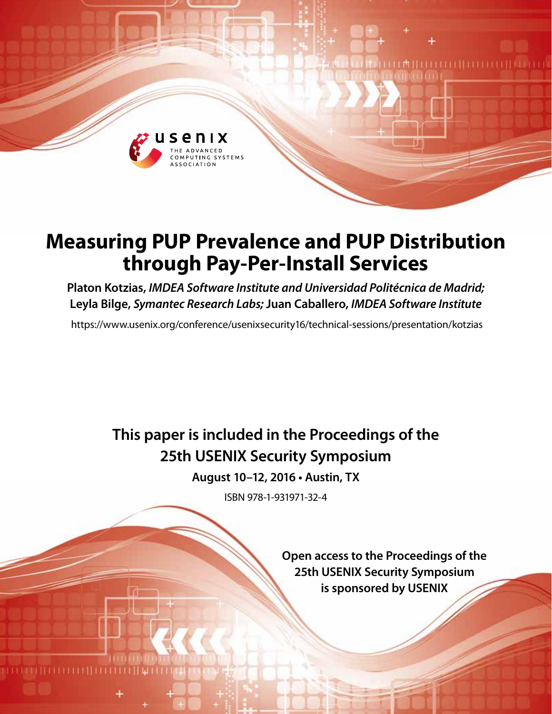

# **Measuring PUP Prevalence and PUP Distribution through Pay-Per-Install Services**

**Platon Kotzias,** *IMDEA Software Institute and Universidad Politécnica de Madrid;*  **Leyla Bilge,** *Symantec Research Labs;* **Juan Caballero,** *IMDEA Software Institute*

https://www.usenix.org/conference/usenixsecurity16/technical-sessions/presentation/kotzias

**This paper is included in the Proceedings of the 25th USENIX Security Symposium**

**August 10–12, 2016 • Austin, TX**

ISBN 978-1-931971-32-4

**Open access to the Proceedings of the 25th USENIX Security Symposium is sponsored by USENIX**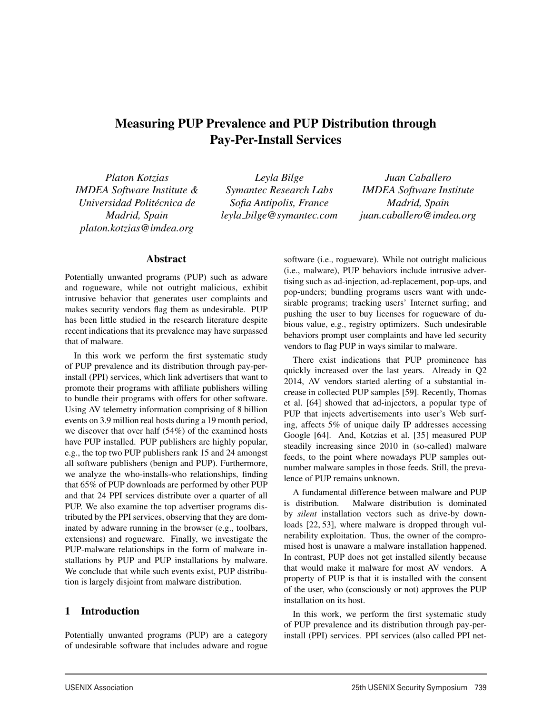## Measuring PUP Prevalence and PUP Distribution through Pay-Per-Install Services

*Platon Kotzias IMDEA Software Institute & Universidad Politecnica de ´ Madrid, Spain platon.kotzias@imdea.org*

*Leyla Bilge Symantec Research Labs Sofia Antipolis, France leyla bilge@symantec.com*

*Juan Caballero IMDEA Software Institute Madrid, Spain juan.caballero@imdea.org*

#### Abstract

Potentially unwanted programs (PUP) such as adware and rogueware, while not outright malicious, exhibit intrusive behavior that generates user complaints and makes security vendors flag them as undesirable. PUP has been little studied in the research literature despite recent indications that its prevalence may have surpassed that of malware.

In this work we perform the first systematic study of PUP prevalence and its distribution through pay-perinstall (PPI) services, which link advertisers that want to promote their programs with affiliate publishers willing to bundle their programs with offers for other software. Using AV telemetry information comprising of 8 billion events on 3.9 million real hosts during a 19 month period, we discover that over half (54%) of the examined hosts have PUP installed. PUP publishers are highly popular, e.g., the top two PUP publishers rank 15 and 24 amongst all software publishers (benign and PUP). Furthermore, we analyze the who-installs-who relationships, finding that 65% of PUP downloads are performed by other PUP and that 24 PPI services distribute over a quarter of all PUP. We also examine the top advertiser programs distributed by the PPI services, observing that they are dominated by adware running in the browser (e.g., toolbars, extensions) and rogueware. Finally, we investigate the PUP-malware relationships in the form of malware installations by PUP and PUP installations by malware. We conclude that while such events exist, PUP distribution is largely disjoint from malware distribution.

#### 1 Introduction

Potentially unwanted programs (PUP) are a category of undesirable software that includes adware and rogue software (i.e., rogueware). While not outright malicious (i.e., malware), PUP behaviors include intrusive advertising such as ad-injection, ad-replacement, pop-ups, and pop-unders; bundling programs users want with undesirable programs; tracking users' Internet surfing; and pushing the user to buy licenses for rogueware of dubious value, e.g., registry optimizers. Such undesirable behaviors prompt user complaints and have led security vendors to flag PUP in ways similar to malware.

There exist indications that PUP prominence has quickly increased over the last years. Already in Q2 2014, AV vendors started alerting of a substantial increase in collected PUP samples [59]. Recently, Thomas et al. [64] showed that ad-injectors, a popular type of PUP that injects advertisements into user's Web surfing, affects 5% of unique daily IP addresses accessing Google [64]. And, Kotzias et al. [35] measured PUP steadily increasing since 2010 in (so-called) malware feeds, to the point where nowadays PUP samples outnumber malware samples in those feeds. Still, the prevalence of PUP remains unknown.

A fundamental difference between malware and PUP is distribution. Malware distribution is dominated by *silent* installation vectors such as drive-by downloads [22, 53], where malware is dropped through vulnerability exploitation. Thus, the owner of the compromised host is unaware a malware installation happened. In contrast, PUP does not get installed silently because that would make it malware for most AV vendors. A property of PUP is that it is installed with the consent of the user, who (consciously or not) approves the PUP installation on its host.

In this work, we perform the first systematic study of PUP prevalence and its distribution through pay-perinstall (PPI) services. PPI services (also called PPI net-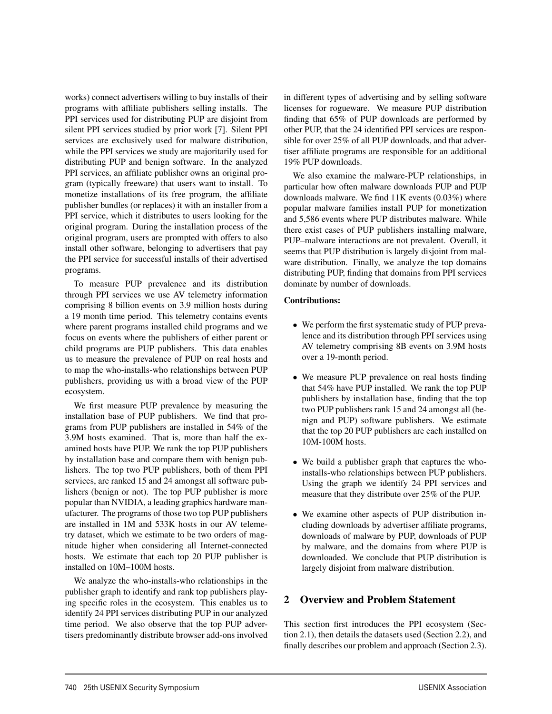works) connect advertisers willing to buy installs of their programs with affiliate publishers selling installs. The PPI services used for distributing PUP are disjoint from silent PPI services studied by prior work [7]. Silent PPI services are exclusively used for malware distribution, while the PPI services we study are majoritarily used for distributing PUP and benign software. In the analyzed PPI services, an affiliate publisher owns an original program (typically freeware) that users want to install. To monetize installations of its free program, the affiliate publisher bundles (or replaces) it with an installer from a PPI service, which it distributes to users looking for the original program. During the installation process of the original program, users are prompted with offers to also install other software, belonging to advertisers that pay the PPI service for successful installs of their advertised programs.

To measure PUP prevalence and its distribution through PPI services we use AV telemetry information comprising 8 billion events on 3.9 million hosts during a 19 month time period. This telemetry contains events where parent programs installed child programs and we focus on events where the publishers of either parent or child programs are PUP publishers. This data enables us to measure the prevalence of PUP on real hosts and to map the who-installs-who relationships between PUP publishers, providing us with a broad view of the PUP ecosystem.

We first measure PUP prevalence by measuring the installation base of PUP publishers. We find that programs from PUP publishers are installed in 54% of the 3.9M hosts examined. That is, more than half the examined hosts have PUP. We rank the top PUP publishers by installation base and compare them with benign publishers. The top two PUP publishers, both of them PPI services, are ranked 15 and 24 amongst all software publishers (benign or not). The top PUP publisher is more popular than NVIDIA, a leading graphics hardware manufacturer. The programs of those two top PUP publishers are installed in 1M and 533K hosts in our AV telemetry dataset, which we estimate to be two orders of magnitude higher when considering all Internet-connected hosts. We estimate that each top 20 PUP publisher is installed on 10M–100M hosts.

We analyze the who-installs-who relationships in the publisher graph to identify and rank top publishers playing specific roles in the ecosystem. This enables us to identify 24 PPI services distributing PUP in our analyzed time period. We also observe that the top PUP advertisers predominantly distribute browser add-ons involved in different types of advertising and by selling software licenses for rogueware. We measure PUP distribution finding that 65% of PUP downloads are performed by other PUP, that the 24 identified PPI services are responsible for over 25% of all PUP downloads, and that advertiser affiliate programs are responsible for an additional 19% PUP downloads.

We also examine the malware-PUP relationships, in particular how often malware downloads PUP and PUP downloads malware. We find 11K events (0.03%) where popular malware families install PUP for monetization and 5,586 events where PUP distributes malware. While there exist cases of PUP publishers installing malware, PUP–malware interactions are not prevalent. Overall, it seems that PUP distribution is largely disjoint from malware distribution. Finally, we analyze the top domains distributing PUP, finding that domains from PPI services dominate by number of downloads.

#### Contributions:

- We perform the first systematic study of PUP prevalence and its distribution through PPI services using AV telemetry comprising 8B events on 3.9M hosts over a 19-month period.
- We measure PUP prevalence on real hosts finding that 54% have PUP installed. We rank the top PUP publishers by installation base, finding that the top two PUP publishers rank 15 and 24 amongst all (benign and PUP) software publishers. We estimate that the top 20 PUP publishers are each installed on 10M-100M hosts.
- We build a publisher graph that captures the whoinstalls-who relationships between PUP publishers. Using the graph we identify 24 PPI services and measure that they distribute over 25% of the PUP.
- We examine other aspects of PUP distribution including downloads by advertiser affiliate programs, downloads of malware by PUP, downloads of PUP by malware, and the domains from where PUP is downloaded. We conclude that PUP distribution is largely disjoint from malware distribution.

## 2 Overview and Problem Statement

2

This section first introduces the PPI ecosystem (Section 2.1), then details the datasets used (Section 2.2), and finally describes our problem and approach (Section 2.3).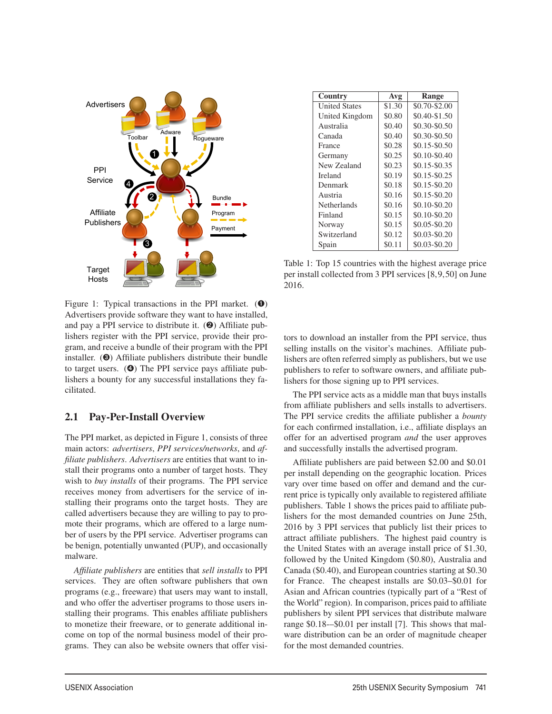

Figure 1: Typical transactions in the PPI market.  $(\mathbf{0})$ Advertisers provide software they want to have installed, and pay a PPI service to distribute it.  $(②)$  Affiliate publishers register with the PPI service, provide their program, and receive a bundle of their program with the PPI installer. (➌) Affiliate publishers distribute their bundle to target users. (➍) The PPI service pays affiliate publishers a bounty for any successful installations they facilitated.

#### 2.1 Pay-Per-Install Overview

The PPI market, as depicted in Figure 1, consists of three main actors: *advertisers*, *PPI services/networks*, and *affiliate publishers*. *Advertisers* are entities that want to install their programs onto a number of target hosts. They wish to *buy installs* of their programs. The PPI service receives money from advertisers for the service of installing their programs onto the target hosts. They are called advertisers because they are willing to pay to promote their programs, which are offered to a large number of users by the PPI service. Advertiser programs can be benign, potentially unwanted (PUP), and occasionally malware.

*Affiliate publishers* are entities that *sell installs* to PPI services. They are often software publishers that own programs (e.g., freeware) that users may want to install, and who offer the advertiser programs to those users installing their programs. This enables affiliate publishers to monetize their freeware, or to generate additional income on top of the normal business model of their programs. They can also be website owners that offer visi-

3

| Country              | Avg    | Range           |
|----------------------|--------|-----------------|
| <b>United States</b> | \$1.30 | \$0.70-\$2.00   |
| United Kingdom       | \$0.80 | \$0.40-\$1.50   |
| Australia            | \$0.40 | \$0.30-\$0.50   |
| Canada               | \$0.40 | \$0.30-\$0.50   |
| France               | \$0.28 | $$0.15 - $0.50$ |
| Germany              | \$0.25 | \$0.10-\$0.40   |
| New Zealand          | \$0.23 | $$0.15 - $0.35$ |
| <b>Ireland</b>       | \$0.19 | $$0.15 - $0.25$ |
| Denmark              | \$0.18 | $$0.15 - $0.20$ |
| Austria              | \$0.16 | $$0.15 - $0.20$ |
| Netherlands          | \$0.16 | \$0.10-\$0.20   |
| Finland              | \$0.15 | \$0.10-\$0.20   |
| Norway               | \$0.15 | $$0.05 - $0.20$ |
| Switzerland          | \$0.12 | \$0.03-\$0.20   |
| Spain                | \$0.11 | \$0.03-\$0.20   |

Table 1: Top 15 countries with the highest average price per install collected from 3 PPI services [8,9,50] on June 2016.

tors to download an installer from the PPI service, thus selling installs on the visitor's machines. Affiliate publishers are often referred simply as publishers, but we use publishers to refer to software owners, and affiliate publishers for those signing up to PPI services.

The PPI service acts as a middle man that buys installs from affiliate publishers and sells installs to advertisers. The PPI service credits the affiliate publisher a *bounty* for each confirmed installation, i.e., affiliate displays an offer for an advertised program *and* the user approves and successfully installs the advertised program.

Affiliate publishers are paid between \$2.00 and \$0.01 per install depending on the geographic location. Prices vary over time based on offer and demand and the current price is typically only available to registered affiliate publishers. Table 1 shows the prices paid to affiliate publishers for the most demanded countries on June 25th, 2016 by 3 PPI services that publicly list their prices to attract affiliate publishers. The highest paid country is the United States with an average install price of \$1.30, followed by the United Kingdom (\$0.80), Australia and Canada (\$0.40), and European countries starting at \$0.30 for France. The cheapest installs are \$0.03–\$0.01 for Asian and African countries (typically part of a "Rest of the World" region). In comparison, prices paid to affiliate publishers by silent PPI services that distribute malware range \$0.18-–\$0.01 per install [7]. This shows that malware distribution can be an order of magnitude cheaper for the most demanded countries.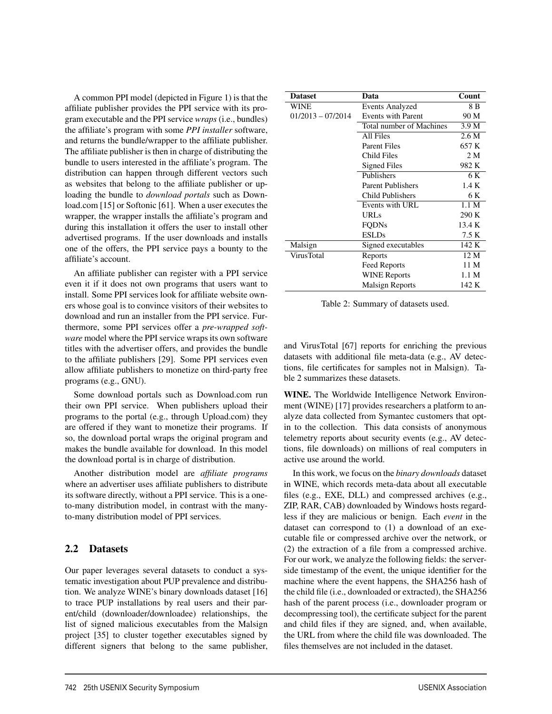A common PPI model (depicted in Figure 1) is that the affiliate publisher provides the PPI service with its program executable and the PPI service *wraps* (i.e., bundles) the affiliate's program with some *PPI installer* software, and returns the bundle/wrapper to the affiliate publisher. The affiliate publisher is then in charge of distributing the bundle to users interested in the affiliate's program. The distribution can happen through different vectors such as websites that belong to the affiliate publisher or uploading the bundle to *download portals* such as Download.com [15] or Softonic [61]. When a user executes the wrapper, the wrapper installs the affiliate's program and during this installation it offers the user to install other advertised programs. If the user downloads and installs one of the offers, the PPI service pays a bounty to the affiliate's account.

An affiliate publisher can register with a PPI service even it if it does not own programs that users want to install. Some PPI services look for affiliate website owners whose goal is to convince visitors of their websites to download and run an installer from the PPI service. Furthermore, some PPI services offer a *pre-wrapped software* model where the PPI service wraps its own software titles with the advertiser offers, and provides the bundle to the affiliate publishers [29]. Some PPI services even allow affiliate publishers to monetize on third-party free programs (e.g., GNU).

Some download portals such as Download.com run their own PPI service. When publishers upload their programs to the portal (e.g., through Upload.com) they are offered if they want to monetize their programs. If so, the download portal wraps the original program and makes the bundle available for download. In this model the download portal is in charge of distribution.

Another distribution model are *affiliate programs* where an advertiser uses affiliate publishers to distribute its software directly, without a PPI service. This is a oneto-many distribution model, in contrast with the manyto-many distribution model of PPI services.

#### 2.2 Datasets

Our paper leverages several datasets to conduct a systematic investigation about PUP prevalence and distribution. We analyze WINE's binary downloads dataset [16] to trace PUP installations by real users and their parent/child (downloader/downloadee) relationships, the list of signed malicious executables from the Malsign project [35] to cluster together executables signed by different signers that belong to the same publisher,

4

| <b>Dataset</b>      | Data                     | Count          |
|---------------------|--------------------------|----------------|
| WINE                | Events Analyzed          | 8 B            |
| $01/2013 - 07/2014$ | Events with Parent       | 90 M           |
|                     | Total number of Machines | 3.9 M          |
|                     | All Files                | 2.6M           |
|                     | <b>Parent Files</b>      | 657 K          |
|                     | Child Files              | 2 <sub>M</sub> |
|                     | Signed Files             | 982 K          |
|                     | Publishers               | 6 K            |
|                     | Parent Publishers        | 1.4 K          |
|                     | Child Publishers         | 6 K            |
|                     | Events with URL          | 1.1 M          |
|                     | <b>URLs</b>              | 290 K          |
|                     | <b>FODNs</b>             | 13.4 K         |
|                     | <b>ESLDs</b>             | 7.5 K          |
| Malsign             | Signed executables       | 142K           |
| VirusTotal          | Reports                  | 12 M           |
|                     | Feed Reports             | 11 M           |
|                     | <b>WINE Reports</b>      | 1.1 M          |
|                     | Malsign Reports          | 142 K          |

Table 2: Summary of datasets used.

and VirusTotal [67] reports for enriching the previous datasets with additional file meta-data (e.g., AV detections, file certificates for samples not in Malsign). Table 2 summarizes these datasets.

WINE. The Worldwide Intelligence Network Environment (WINE) [17] provides researchers a platform to analyze data collected from Symantec customers that optin to the collection. This data consists of anonymous telemetry reports about security events (e.g., AV detections, file downloads) on millions of real computers in active use around the world.

In this work, we focus on the *binary downloads* dataset in WINE, which records meta-data about all executable files (e.g., EXE, DLL) and compressed archives (e.g., ZIP, RAR, CAB) downloaded by Windows hosts regardless if they are malicious or benign. Each *event* in the dataset can correspond to (1) a download of an executable file or compressed archive over the network, or (2) the extraction of a file from a compressed archive. For our work, we analyze the following fields: the serverside timestamp of the event, the unique identifier for the machine where the event happens, the SHA256 hash of the child file (i.e., downloaded or extracted), the SHA256 hash of the parent process (i.e., downloader program or decompressing tool), the certificate subject for the parent and child files if they are signed, and, when available, the URL from where the child file was downloaded. The files themselves are not included in the dataset.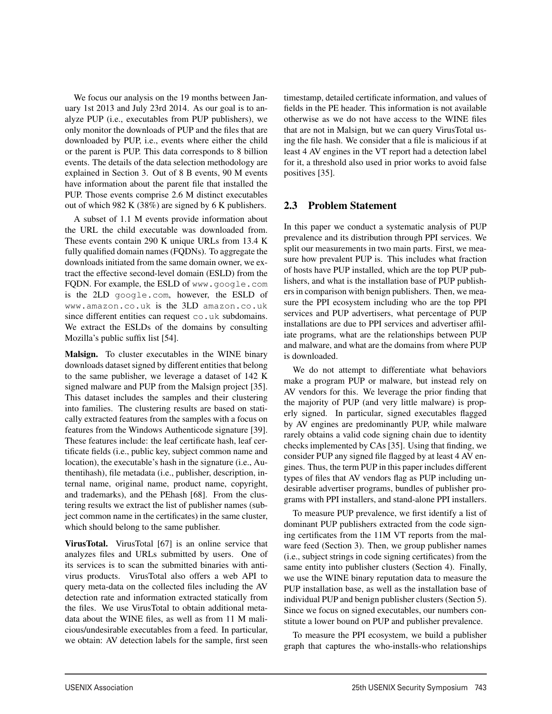We focus our analysis on the 19 months between January 1st 2013 and July 23rd 2014. As our goal is to analyze PUP (i.e., executables from PUP publishers), we only monitor the downloads of PUP and the files that are downloaded by PUP, i.e., events where either the child or the parent is PUP. This data corresponds to 8 billion events. The details of the data selection methodology are explained in Section 3. Out of 8 B events, 90 M events have information about the parent file that installed the PUP. Those events comprise 2.6 M distinct executables out of which 982 K (38%) are signed by 6 K publishers.

A subset of 1.1 M events provide information about the URL the child executable was downloaded from. These events contain 290 K unique URLs from 13.4 K fully qualified domain names (FQDNs). To aggregate the downloads initiated from the same domain owner, we extract the effective second-level domain (ESLD) from the FQDN. For example, the ESLD of www.google.com is the 2LD google.com, however, the ESLD of www.amazon.co.uk is the 3LD amazon.co.uk since different entities can request co.uk subdomains. We extract the ESLDs of the domains by consulting Mozilla's public suffix list [54].

Malsign. To cluster executables in the WINE binary downloads dataset signed by different entities that belong to the same publisher, we leverage a dataset of 142 K signed malware and PUP from the Malsign project [35]. This dataset includes the samples and their clustering into families. The clustering results are based on statically extracted features from the samples with a focus on features from the Windows Authenticode signature [39]. These features include: the leaf certificate hash, leaf certificate fields (i.e., public key, subject common name and location), the executable's hash in the signature (i.e., Authentihash), file metadata (i.e., publisher, description, internal name, original name, product name, copyright, and trademarks), and the PEhash [68]. From the clustering results we extract the list of publisher names (subject common name in the certificates) in the same cluster, which should belong to the same publisher.

VirusTotal. VirusTotal [67] is an online service that analyzes files and URLs submitted by users. One of its services is to scan the submitted binaries with antivirus products. VirusTotal also offers a web API to query meta-data on the collected files including the AV detection rate and information extracted statically from the files. We use VirusTotal to obtain additional metadata about the WINE files, as well as from 11 M malicious/undesirable executables from a feed. In particular, we obtain: AV detection labels for the sample, first seen timestamp, detailed certificate information, and values of fields in the PE header. This information is not available otherwise as we do not have access to the WINE files that are not in Malsign, but we can query VirusTotal using the file hash. We consider that a file is malicious if at least 4 AV engines in the VT report had a detection label for it, a threshold also used in prior works to avoid false positives [35].

#### 2.3 Problem Statement

In this paper we conduct a systematic analysis of PUP prevalence and its distribution through PPI services. We split our measurements in two main parts. First, we measure how prevalent PUP is. This includes what fraction of hosts have PUP installed, which are the top PUP publishers, and what is the installation base of PUP publishers in comparison with benign publishers. Then, we measure the PPI ecosystem including who are the top PPI services and PUP advertisers, what percentage of PUP installations are due to PPI services and advertiser affiliate programs, what are the relationships between PUP and malware, and what are the domains from where PUP is downloaded.

We do not attempt to differentiate what behaviors make a program PUP or malware, but instead rely on AV vendors for this. We leverage the prior finding that the majority of PUP (and very little malware) is properly signed. In particular, signed executables flagged by AV engines are predominantly PUP, while malware rarely obtains a valid code signing chain due to identity checks implemented by CAs [35]. Using that finding, we consider PUP any signed file flagged by at least 4 AV engines. Thus, the term PUP in this paper includes different types of files that AV vendors flag as PUP including undesirable advertiser programs, bundles of publisher programs with PPI installers, and stand-alone PPI installers.

To measure PUP prevalence, we first identify a list of dominant PUP publishers extracted from the code signing certificates from the 11M VT reports from the malware feed (Section 3). Then, we group publisher names (i.e., subject strings in code signing certificates) from the same entity into publisher clusters (Section 4). Finally, we use the WINE binary reputation data to measure the PUP installation base, as well as the installation base of individual PUP and benign publisher clusters (Section 5). Since we focus on signed executables, our numbers constitute a lower bound on PUP and publisher prevalence.

To measure the PPI ecosystem, we build a publisher graph that captures the who-installs-who relationships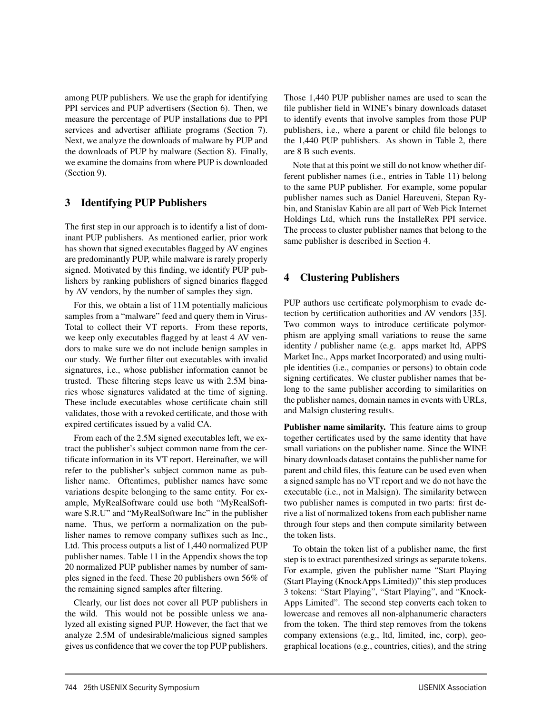among PUP publishers. We use the graph for identifying PPI services and PUP advertisers (Section 6). Then, we measure the percentage of PUP installations due to PPI services and advertiser affiliate programs (Section 7). Next, we analyze the downloads of malware by PUP and the downloads of PUP by malware (Section 8). Finally, we examine the domains from where PUP is downloaded (Section 9).

## 3 Identifying PUP Publishers

The first step in our approach is to identify a list of dominant PUP publishers. As mentioned earlier, prior work has shown that signed executables flagged by AV engines are predominantly PUP, while malware is rarely properly signed. Motivated by this finding, we identify PUP publishers by ranking publishers of signed binaries flagged by AV vendors, by the number of samples they sign.

For this, we obtain a list of 11M potentially malicious samples from a "malware" feed and query them in Virus-Total to collect their VT reports. From these reports, we keep only executables flagged by at least 4 AV vendors to make sure we do not include benign samples in our study. We further filter out executables with invalid signatures, i.e., whose publisher information cannot be trusted. These filtering steps leave us with 2.5M binaries whose signatures validated at the time of signing. These include executables whose certificate chain still validates, those with a revoked certificate, and those with expired certificates issued by a valid CA.

From each of the 2.5M signed executables left, we extract the publisher's subject common name from the certificate information in its VT report. Hereinafter, we will refer to the publisher's subject common name as publisher name. Oftentimes, publisher names have some variations despite belonging to the same entity. For example, MyRealSoftware could use both "MyRealSoftware S.R.U" and "MyRealSoftware Inc" in the publisher name. Thus, we perform a normalization on the publisher names to remove company suffixes such as Inc., Ltd. This process outputs a list of 1,440 normalized PUP publisher names. Table 11 in the Appendix shows the top 20 normalized PUP publisher names by number of samples signed in the feed. These 20 publishers own 56% of the remaining signed samples after filtering.

Clearly, our list does not cover all PUP publishers in the wild. This would not be possible unless we analyzed all existing signed PUP. However, the fact that we analyze 2.5M of undesirable/malicious signed samples gives us confidence that we cover the top PUP publishers.

6

Those 1,440 PUP publisher names are used to scan the file publisher field in WINE's binary downloads dataset to identify events that involve samples from those PUP publishers, i.e., where a parent or child file belongs to the 1,440 PUP publishers. As shown in Table 2, there are 8 B such events.

Note that at this point we still do not know whether different publisher names (i.e., entries in Table 11) belong to the same PUP publisher. For example, some popular publisher names such as Daniel Hareuveni, Stepan Rybin, and Stanislav Kabin are all part of Web Pick Internet Holdings Ltd, which runs the InstalleRex PPI service. The process to cluster publisher names that belong to the same publisher is described in Section 4.

## 4 Clustering Publishers

PUP authors use certificate polymorphism to evade detection by certification authorities and AV vendors [35]. Two common ways to introduce certificate polymorphism are applying small variations to reuse the same identity / publisher name (e.g. apps market ltd, APPS Market Inc., Apps market Incorporated) and using multiple identities (i.e., companies or persons) to obtain code signing certificates. We cluster publisher names that belong to the same publisher according to similarities on the publisher names, domain names in events with URLs, and Malsign clustering results.

Publisher name similarity. This feature aims to group together certificates used by the same identity that have small variations on the publisher name. Since the WINE binary downloads dataset contains the publisher name for parent and child files, this feature can be used even when a signed sample has no VT report and we do not have the executable (i.e., not in Malsign). The similarity between two publisher names is computed in two parts: first derive a list of normalized tokens from each publisher name through four steps and then compute similarity between the token lists.

To obtain the token list of a publisher name, the first step is to extract parenthesized strings as separate tokens. For example, given the publisher name "Start Playing (Start Playing (KnockApps Limited))" this step produces 3 tokens: "Start Playing", "Start Playing", and "Knock-Apps Limited". The second step converts each token to lowercase and removes all non-alphanumeric characters from the token. The third step removes from the tokens company extensions (e.g., ltd, limited, inc, corp), geographical locations (e.g., countries, cities), and the string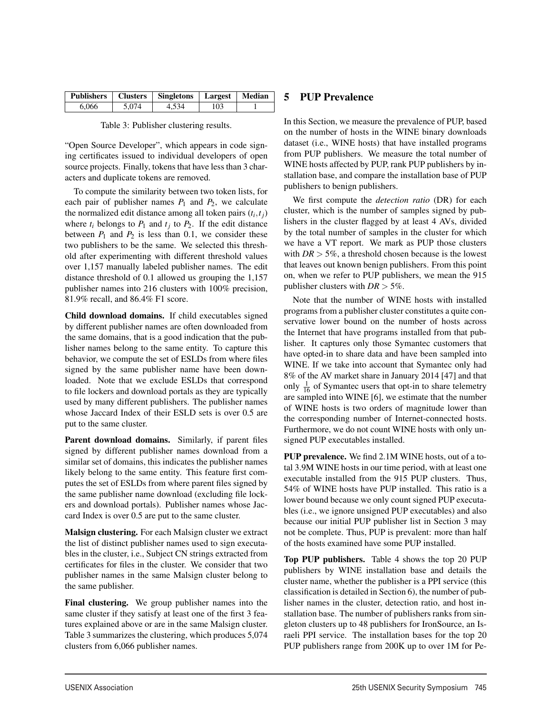|       |       | Publishers   Clusters   Singletons   Largest   Median |     |  |
|-------|-------|-------------------------------------------------------|-----|--|
| 6.066 | 5.074 | 4.534                                                 | 103 |  |

|  | Table 3: Publisher clustering results. |  |  |
|--|----------------------------------------|--|--|
|--|----------------------------------------|--|--|

"Open Source Developer", which appears in code signing certificates issued to individual developers of open source projects. Finally, tokens that have less than 3 characters and duplicate tokens are removed.

To compute the similarity between two token lists, for each pair of publisher names  $P_1$  and  $P_2$ , we calculate the normalized edit distance among all token pairs  $(t_i, t_j)$ where  $t_i$  belongs to  $P_1$  and  $t_i$  to  $P_2$ . If the edit distance between  $P_1$  and  $P_2$  is less than 0.1, we consider these two publishers to be the same. We selected this threshold after experimenting with different threshold values over 1,157 manually labeled publisher names. The edit distance threshold of 0.1 allowed us grouping the 1,157 publisher names into 216 clusters with 100% precision, 81.9% recall, and 86.4% F1 score.

Child download domains. If child executables signed by different publisher names are often downloaded from the same domains, that is a good indication that the publisher names belong to the same entity. To capture this behavior, we compute the set of ESLDs from where files signed by the same publisher name have been downloaded. Note that we exclude ESLDs that correspond to file lockers and download portals as they are typically used by many different publishers. The publisher names whose Jaccard Index of their ESLD sets is over 0.5 are put to the same cluster.

Parent download domains. Similarly, if parent files signed by different publisher names download from a similar set of domains, this indicates the publisher names likely belong to the same entity. This feature first computes the set of ESLDs from where parent files signed by the same publisher name download (excluding file lockers and download portals). Publisher names whose Jaccard Index is over 0.5 are put to the same cluster.

Malsign clustering. For each Malsign cluster we extract the list of distinct publisher names used to sign executables in the cluster, i.e., Subject CN strings extracted from certificates for files in the cluster. We consider that two publisher names in the same Malsign cluster belong to the same publisher.

Final clustering. We group publisher names into the same cluster if they satisfy at least one of the first 3 features explained above or are in the same Malsign cluster. Table 3 summarizes the clustering, which produces 5,074 clusters from 6,066 publisher names.

7

## 5 PUP Prevalence

In this Section, we measure the prevalence of PUP, based on the number of hosts in the WINE binary downloads dataset (i.e., WINE hosts) that have installed programs from PUP publishers. We measure the total number of WINE hosts affected by PUP, rank PUP publishers by installation base, and compare the installation base of PUP publishers to benign publishers.

We first compute the *detection ratio* (DR) for each cluster, which is the number of samples signed by publishers in the cluster flagged by at least 4 AVs, divided by the total number of samples in the cluster for which we have a VT report. We mark as PUP those clusters with  $DR > 5\%$ , a threshold chosen because is the lowest that leaves out known benign publishers. From this point on, when we refer to PUP publishers, we mean the 915 publisher clusters with  $DR > 5\%$ .

Note that the number of WINE hosts with installed programs from a publisher cluster constitutes a quite conservative lower bound on the number of hosts across the Internet that have programs installed from that publisher. It captures only those Symantec customers that have opted-in to share data and have been sampled into WINE. If we take into account that Symantec only had 8% of the AV market share in January 2014 [47] and that only  $\frac{1}{16}$  of Symantec users that opt-in to share telemetry are sampled into WINE [6], we estimate that the number of WINE hosts is two orders of magnitude lower than the corresponding number of Internet-connected hosts. Furthermore, we do not count WINE hosts with only unsigned PUP executables installed.

PUP prevalence. We find 2.1M WINE hosts, out of a total 3.9M WINE hosts in our time period, with at least one executable installed from the 915 PUP clusters. Thus, 54% of WINE hosts have PUP installed. This ratio is a lower bound because we only count signed PUP executables (i.e., we ignore unsigned PUP executables) and also because our initial PUP publisher list in Section 3 may not be complete. Thus, PUP is prevalent: more than half of the hosts examined have some PUP installed.

Top PUP publishers. Table 4 shows the top 20 PUP publishers by WINE installation base and details the cluster name, whether the publisher is a PPI service (this classification is detailed in Section 6), the number of publisher names in the cluster, detection ratio, and host installation base. The number of publishers ranks from singleton clusters up to 48 publishers for IronSource, an Israeli PPI service. The installation bases for the top 20 PUP publishers range from 200K up to over 1M for Pe-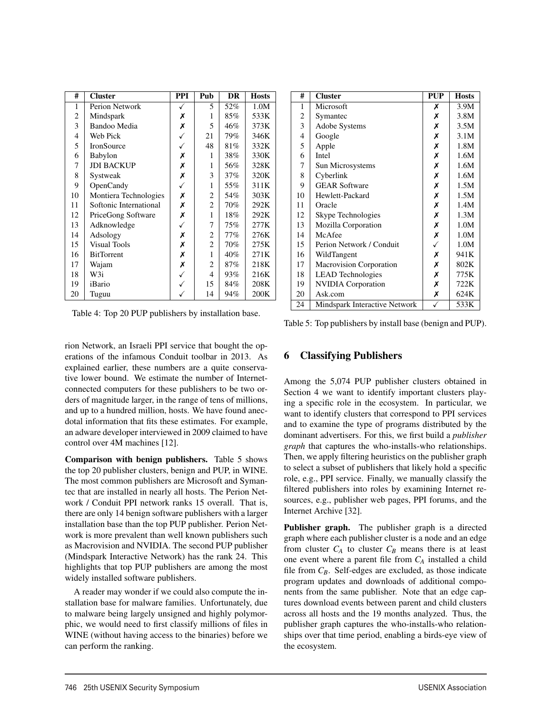| #              | <b>Cluster</b>         | <b>PPI</b>   | Pub            | <b>DR</b> | <b>Hosts</b> |
|----------------|------------------------|--------------|----------------|-----------|--------------|
| 1              | Perion Network         |              | 5              | 52%       | 1.0M         |
| $\overline{c}$ | Mindspark              | Х            | 1              | 85%       | 533K         |
| 3              | Bandoo Media           | Х            | 5              | 46%       | 373K         |
| 4              | Web Pick               |              | 21             | 79%       | 346K         |
| 5              | IronSource             |              | 48             | 81%       | 332K         |
| 6              | Babylon                | Х            | 1              | 38%       | 330K         |
| $\overline{7}$ | <b>JDI BACKUP</b>      | X            | 1              | 56%       | 328K         |
| 8              | Systweak               | Х            | 3              | $37\%$    | 320K         |
| 9              | OpenCandy              | ✓            | 1              | 55%       | 311K         |
| 10             | Montiera Technologies  | Х            | $\overline{c}$ | 54%       | 303K         |
| 11             | Softonic International | X            | $\overline{c}$ | 70%       | 292K         |
| 12             | PriceGong Software     | X            | $\mathbf{1}$   | 18%       | 292K         |
| 13             | Adknowledge            | $\checkmark$ | 7              | 75%       | 277K         |
| 14             | Adsology               | Х            | 2              | 77%       | 276K         |
| 15             | <b>Visual Tools</b>    | Х            | $\overline{c}$ | 70%       | 275K         |
| 16             | <b>BitTorrent</b>      | X            | 1              | 40%       | 271K         |
| 17             | Wajam                  | Х            | 2              | 87%       | 218K         |
| 18             | W3i                    |              | 4              | 93%       | 216K         |
| 19             | iBario                 |              | 15             | 84%       | 208K         |
| 20             | Tuguu                  |              | 14             | 94%       | 200K         |

Table 4: Top 20 PUP publishers by installation base.

rion Network, an Israeli PPI service that bought the operations of the infamous Conduit toolbar in 2013. As explained earlier, these numbers are a quite conservative lower bound. We estimate the number of Internetconnected computers for these publishers to be two orders of magnitude larger, in the range of tens of millions, and up to a hundred million, hosts. We have found anecdotal information that fits these estimates. For example, an adware developer interviewed in 2009 claimed to have control over 4M machines [12].

Comparison with benign publishers. Table 5 shows the top 20 publisher clusters, benign and PUP, in WINE. The most common publishers are Microsoft and Symantec that are installed in nearly all hosts. The Perion Network / Conduit PPI network ranks 15 overall. That is, there are only 14 benign software publishers with a larger installation base than the top PUP publisher. Perion Network is more prevalent than well known publishers such as Macrovision and NVIDIA. The second PUP publisher (Mindspark Interactive Network) has the rank 24. This highlights that top PUP publishers are among the most widely installed software publishers.

A reader may wonder if we could also compute the installation base for malware families. Unfortunately, due to malware being largely unsigned and highly polymorphic, we would need to first classify millions of files in WINE (without having access to the binaries) before we can perform the ranking.

8

| #  | <b>Cluster</b>                | <b>PUP</b> | <b>Hosts</b> |
|----|-------------------------------|------------|--------------|
| 1  | Microsoft                     | Х          | 3.9M         |
| 2  | Symantec                      | Х          | 3.8M         |
| 3  | <b>Adobe Systems</b>          | Х          | 3.5M         |
| 4  | Google                        | Х          | 3.1M         |
| 5  | Apple                         | Х          | 1.8M         |
| 6  | <b>Intel</b>                  | Х          | 1.6M         |
| 7  | Sun Microsystems              | Х          | 1.6M         |
| 8  | Cyberlink                     | Х          | 1.6M         |
| 9  | <b>GEAR Software</b>          | Х          | 1.5M         |
| 10 | Hewlett-Packard               | Х          | 1.5M         |
| 11 | Oracle                        | Х          | 1.4M         |
| 12 | Skype Technologies            | Х          | 1.3M         |
| 13 | Mozilla Corporation           | Х          | 1.0M         |
| 14 | McAfee                        | Х          | 1.0M         |
| 15 | Perion Network / Conduit      | ✓          | 1.0M         |
| 16 | WildTangent                   | Х          | 941K         |
| 17 | Macrovision Corporation       | Х          | 802K         |
| 18 | <b>LEAD</b> Technologies      | Х          | 775K         |
| 19 | <b>NVIDIA</b> Corporation     | Х          | 722K         |
| 20 | Ask.com                       | Х          | 624K         |
| 24 | Mindspark Interactive Network |            | 533K         |

Table 5: Top publishers by install base (benign and PUP).

## 6 Classifying Publishers

Among the 5,074 PUP publisher clusters obtained in Section 4 we want to identify important clusters playing a specific role in the ecosystem. In particular, we want to identify clusters that correspond to PPI services and to examine the type of programs distributed by the dominant advertisers. For this, we first build a *publisher graph* that captures the who-installs-who relationships. Then, we apply filtering heuristics on the publisher graph to select a subset of publishers that likely hold a specific role, e.g., PPI service. Finally, we manually classify the filtered publishers into roles by examining Internet resources, e.g., publisher web pages, PPI forums, and the Internet Archive [32].

Publisher graph. The publisher graph is a directed graph where each publisher cluster is a node and an edge from cluster  $C_A$  to cluster  $C_B$  means there is at least one event where a parent file from *CA* installed a child file from  $C_B$ . Self-edges are excluded, as those indicate program updates and downloads of additional components from the same publisher. Note that an edge captures download events between parent and child clusters across all hosts and the 19 months analyzed. Thus, the publisher graph captures the who-installs-who relationships over that time period, enabling a birds-eye view of the ecosystem.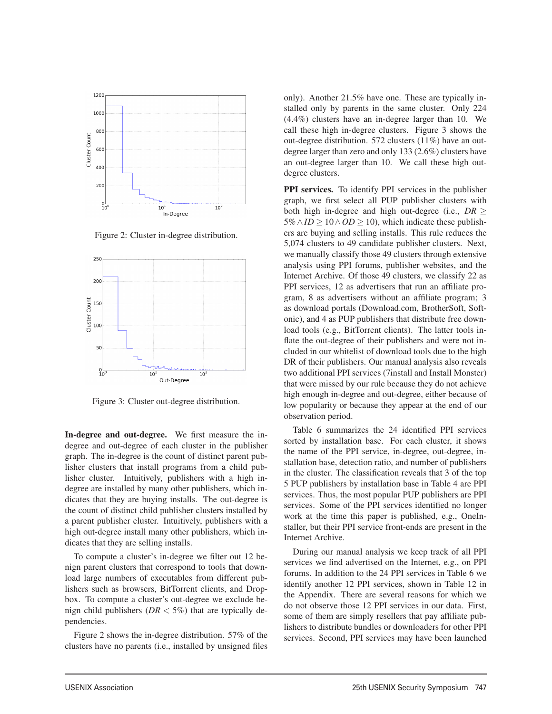

Figure 2: Cluster in-degree distribution.



Figure 3: Cluster out-degree distribution.

In-degree and out-degree. We first measure the indegree and out-degree of each cluster in the publisher graph. The in-degree is the count of distinct parent publisher clusters that install programs from a child publisher cluster. Intuitively, publishers with a high indegree are installed by many other publishers, which indicates that they are buying installs. The out-degree is the count of distinct child publisher clusters installed by a parent publisher cluster. Intuitively, publishers with a high out-degree install many other publishers, which indicates that they are selling installs.

To compute a cluster's in-degree we filter out 12 benign parent clusters that correspond to tools that download large numbers of executables from different publishers such as browsers, BitTorrent clients, and Dropbox. To compute a cluster's out-degree we exclude benign child publishers ( $DR < 5\%$ ) that are typically dependencies.

Figure 2 shows the in-degree distribution. 57% of the clusters have no parents (i.e., installed by unsigned files

9

only). Another 21.5% have one. These are typically installed only by parents in the same cluster. Only 224 (4.4%) clusters have an in-degree larger than 10. We call these high in-degree clusters. Figure 3 shows the out-degree distribution. 572 clusters (11%) have an outdegree larger than zero and only 133 (2.6%) clusters have an out-degree larger than 10. We call these high outdegree clusters.

PPI services. To identify PPI services in the publisher graph, we first select all PUP publisher clusters with both high in-degree and high out-degree (i.e., *DR* ≥  $5\% \land ID \ge 10 \land OD \ge 10$ ), which indicate these publishers are buying and selling installs. This rule reduces the 5,074 clusters to 49 candidate publisher clusters. Next, we manually classify those 49 clusters through extensive analysis using PPI forums, publisher websites, and the Internet Archive. Of those 49 clusters, we classify 22 as PPI services, 12 as advertisers that run an affiliate program, 8 as advertisers without an affiliate program; 3 as download portals (Download.com, BrotherSoft, Softonic), and 4 as PUP publishers that distribute free download tools (e.g., BitTorrent clients). The latter tools inflate the out-degree of their publishers and were not included in our whitelist of download tools due to the high DR of their publishers. Our manual analysis also reveals two additional PPI services (7install and Install Monster) that were missed by our rule because they do not achieve high enough in-degree and out-degree, either because of low popularity or because they appear at the end of our observation period.

Table 6 summarizes the 24 identified PPI services sorted by installation base. For each cluster, it shows the name of the PPI service, in-degree, out-degree, installation base, detection ratio, and number of publishers in the cluster. The classification reveals that 3 of the top 5 PUP publishers by installation base in Table 4 are PPI services. Thus, the most popular PUP publishers are PPI services. Some of the PPI services identified no longer work at the time this paper is published, e.g., OneInstaller, but their PPI service front-ends are present in the Internet Archive.

During our manual analysis we keep track of all PPI services we find advertised on the Internet, e.g., on PPI forums. In addition to the 24 PPI services in Table 6 we identify another 12 PPI services, shown in Table 12 in the Appendix. There are several reasons for which we do not observe those 12 PPI services in our data. First, some of them are simply resellers that pay affiliate publishers to distribute bundles or downloaders for other PPI services. Second, PPI services may have been launched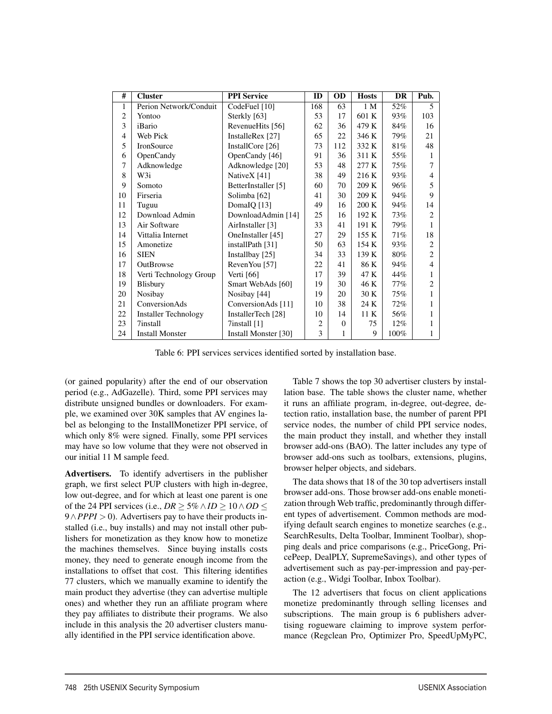| #              | <b>Cluster</b>              | <b>PPI</b> Service   | ID  | OD       | <b>Hosts</b> | <b>DR</b> | Pub.                     |
|----------------|-----------------------------|----------------------|-----|----------|--------------|-----------|--------------------------|
| 1              | Perion Network/Conduit      | CodeFuel [10]        | 168 | 63       | 1 M          | 52%       | $\overline{\phantom{0}}$ |
| 2              | Yontoo                      | Sterkly [63]         | 53  | 17       | 601 K        | 93%       | 103                      |
| 3              | iBario                      | RevenueHits [56]     | 62  | 36       | 479 K        | 84%       | 16                       |
| $\overline{4}$ | Web Pick                    | InstalleRex [27]     | 65  | 22       | 346 K        | 79%       | 21                       |
| 5              | IronSource                  | InstallCore [26]     | 73  | 112      | 332 K        | 81%       | 48                       |
| 6              | OpenCandy                   | OpenCandy [46]       | 91  | 36       | 311 K        | 55%       | 1                        |
| 7              | Adknowledge                 | Adknowledge [20]     | 53  | 48       | 277 K        | 75%       | $\tau$                   |
| 8              | W3i                         | NativeX [41]         | 38  | 49       | 216 K        | 93%       | 4                        |
| 9              | Somoto                      | BetterInstaller [5]  | 60  | 70       | 209 K        | 96%       | 5                        |
| 10             | Firseria                    | Solimba [62]         | 41  | 30       | 209 K        | 94%       | 9                        |
| 11             | Tuguu                       | DomaIQ [13]          | 49  | 16       | 200K         | 94%       | 14                       |
| 12             | Download Admin              | DownloadAdmin [14]   | 25  | 16       | 192 K        | 73%       | 2                        |
| 13             | Air Software                | AirInstaller [3]     | 33  | 41       | 191 K        | 79%       | 1                        |
| 14             | Vittalia Internet           | OneInstaller [45]    | 27  | 29       | 155 K        | 71%       | 18                       |
| 15             | Amonetize                   | installPath [31]     | 50  | 63       | 154K         | 93%       | $\overline{2}$           |
| 16             | <b>SIEN</b>                 | Installbay [25]      | 34  | 33       | 139 K        | 80%       | $\overline{c}$           |
| 17             | <b>OutBrowse</b>            | RevenYou [57]        | 22  | 41       | 86 K         | 94%       | 4                        |
| 18             | Verti Technology Group      | Verti [66]           | 17  | 39       | 47 K         | 44%       |                          |
| 19             | Blisbury                    | Smart WebAds [60]    | 19  | 30       | 46 K         | 77%       | $\overline{c}$           |
| 20             | Nosibay                     | Nosibay [44]         | 19  | 20       | 30 K         | 75%       | 1                        |
| 21             | <b>ConversionAds</b>        | ConversionAds [11]   | 10  | 38       | 24 K         | 72%       | 1                        |
| 22             | <b>Installer Technology</b> | InstallerTech [28]   | 10  | 14       | 11K          | 56%       | 1                        |
| 23             | 7install                    | $7$ install $[1]$    | 2   | $\Omega$ | 75           | $12\%$    | 1                        |
| 24             | <b>Install Monster</b>      | Install Monster [30] | 3   | 1        | 9            | 100%      | 1                        |

Table 6: PPI services services identified sorted by installation base.

(or gained popularity) after the end of our observation period (e.g., AdGazelle). Third, some PPI services may distribute unsigned bundles or downloaders. For example, we examined over 30K samples that AV engines label as belonging to the InstallMonetizer PPI service, of which only 8% were signed. Finally, some PPI services may have so low volume that they were not observed in our initial 11 M sample feed.

Advertisers. To identify advertisers in the publisher graph, we first select PUP clusters with high in-degree, low out-degree, and for which at least one parent is one of the 24 PPI services (i.e.,  $DR \ge 5\% \land ID \ge 10 \land OD \le 5\%$ 9∧*PPPI* > 0). Advertisers pay to have their products installed (i.e., buy installs) and may not install other publishers for monetization as they know how to monetize the machines themselves. Since buying installs costs money, they need to generate enough income from the installations to offset that cost. This filtering identifies 77 clusters, which we manually examine to identify the main product they advertise (they can advertise multiple ones) and whether they run an affiliate program where they pay affiliates to distribute their programs. We also include in this analysis the 20 advertiser clusters manually identified in the PPI service identification above.

Table 7 shows the top 30 advertiser clusters by installation base. The table shows the cluster name, whether it runs an affiliate program, in-degree, out-degree, detection ratio, installation base, the number of parent PPI service nodes, the number of child PPI service nodes, the main product they install, and whether they install browser add-ons (BAO). The latter includes any type of browser add-ons such as toolbars, extensions, plugins, browser helper objects, and sidebars.

The data shows that 18 of the 30 top advertisers install browser add-ons. Those browser add-ons enable monetization through Web traffic, predominantly through different types of advertisement. Common methods are modifying default search engines to monetize searches (e.g., SearchResults, Delta Toolbar, Imminent Toolbar), shopping deals and price comparisons (e.g., PriceGong, PricePeep, DealPLY, SupremeSavings), and other types of advertisement such as pay-per-impression and pay-peraction (e.g., Widgi Toolbar, Inbox Toolbar).

The 12 advertisers that focus on client applications monetize predominantly through selling licenses and subscriptions. The main group is 6 publishers advertising rogueware claiming to improve system performance (Regclean Pro, Optimizer Pro, SpeedUpMyPC,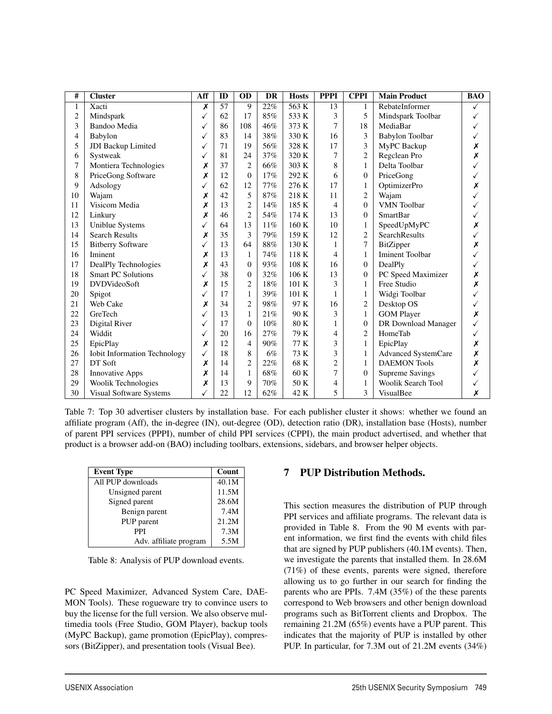| #              | <b>Cluster</b>                      | Aff          | ID | <b>OD</b>      | <b>DR</b> | <b>Hosts</b> | <b>PPPI</b>    | <b>CPPI</b>      | <b>Main Product</b>       | <b>BAO</b>   |
|----------------|-------------------------------------|--------------|----|----------------|-----------|--------------|----------------|------------------|---------------------------|--------------|
| $\mathbf{1}$   | Xacti                               | Х            | 57 | 9              | 22%       | 563 K        | 13             | 1                | RebateInformer            | ✓            |
| $\overline{2}$ | Mindspark                           | √            | 62 | 17             | 85%       | 533 K        | 3              | 5                | Mindspark Toolbar         | ✓            |
| 3              | Bandoo Media                        | ✓            | 86 | 108            | 46%       | 373 K        | 7              | 18               | MediaBar                  | ✓            |
| 4              | Babylon                             | √            | 83 | 14             | 38%       | 330 K        | 16             | 3                | Babylon Toolbar           | $\checkmark$ |
| 5              | JDI Backup Limited                  | $\checkmark$ | 71 | 19             | 56%       | 328 K        | 17             | 3                | MyPC Backup               | Х            |
| 6              | Systweak                            | $\checkmark$ | 81 | 24             | 37%       | 320 K        | 7              | $\overline{c}$   | Regclean Pro              | X            |
| 7              | Montiera Technologies               | Х            | 37 | $\mathbf{2}$   | 66%       | 303 K        | 8              | $\mathbf{1}$     | Delta Toolbar             |              |
| 8              | PriceGong Software                  | Х            | 12 | $\theta$       | 17%       | 292 K        | 6              | $\boldsymbol{0}$ | PriceGong                 | ✓            |
| 9              | Adsology                            |              | 62 | 12             | 77%       | 276 K        | 17             | 1                | OptimizerPro              | Х            |
| 10             | Wajam                               | Х            | 42 | 5              | 87%       | 218 K        | 11             | 2                | Wajam                     |              |
| 11             | Visicom Media                       | Х            | 13 | $\overline{2}$ | 14%       | 185 K        | $\overline{4}$ | $\boldsymbol{0}$ | <b>VMN</b> Toolbar        |              |
| 12             | Linkury                             | Х            | 46 | $\overline{2}$ | 54%       | 174 K        | 13             | $\mathbf{0}$     | <b>SmartBar</b>           |              |
| 13             | Uniblue Systems                     |              | 64 | 13             | 11%       | 160 K        | 10             | 1                | SpeedUpMyPC               | Х            |
| 14             | <b>Search Results</b>               | Х            | 35 | 3              | 79%       | 159 K        | 12             | $\overline{c}$   | <b>SearchResults</b>      | ✓            |
| 15             | <b>Bitberry Software</b>            | $\checkmark$ | 13 | 64             | $88\%$    | 130 K        | $\mathbf{1}$   | 7                | BitZipper                 | Х            |
| 16             | Iminent                             | Х            | 13 | $\mathbf{1}$   | 74%       | 118 K        | $\overline{4}$ | $\mathbf{1}$     | <b>Iminent Toolbar</b>    |              |
| 17             | DealPly Technologies                | Х            | 43 | $\theta$       | 93%       | 108 K        | 16             | $\mathbf{0}$     | DealPly                   | ✓            |
| 18             | <b>Smart PC Solutions</b>           |              | 38 | $\theta$       | 32%       | 106 K        | 13             | $\mathbf{0}$     | PC Speed Maximizer        | Х            |
| 19             | <b>DVDVideoSoft</b>                 | Х            | 15 | $\overline{2}$ | 18%       | 101 K        | 3              | 1                | Free Studio               | Х            |
| 20             | Spigot                              | ✓            | 17 | $\mathbf{1}$   | 39%       | 101 K        | $\mathbf{1}$   | $\mathbf{1}$     | Widgi Toolbar             |              |
| 21             | Web Cake                            | Х            | 34 | $\overline{2}$ | 98%       | 97 K         | 16             | $\overline{c}$   | Desktop OS                |              |
| 22             | GreTech                             | $\checkmark$ | 13 | 1              | 21%       | 90 K         | 3              | $\mathbf{1}$     | <b>GOM Player</b>         | X            |
| 23             | Digital River                       | ✓            | 17 | $\overline{0}$ | 10%       | 80 K         | 1              | $\theta$         | DR Download Manager       |              |
| 24             | Widdit                              | ✓            | 20 | 16             | 27%       | 79 K         | $\overline{4}$ | $\overline{2}$   | HomeTab                   | $\checkmark$ |
| 25             | EpicPlay                            | Х            | 12 | $\overline{4}$ | 90%       | 77 K         | 3              | 1                | EpicPlay                  | Х            |
| 26             | <b>Iobit Information Technology</b> | ✓            | 18 | 8              | 6%        | 73 K         | 3              | $\mathbf{1}$     | Advanced SystemCare       | Х            |
| 27             | DT Soft                             | Х            | 14 | $\overline{c}$ | 22%       | 68 K         | $\overline{c}$ | 1                | <b>DAEMON Tools</b>       | Х            |
| 28             | <b>Innovative Apps</b>              | Х            | 14 | $\mathbf{1}$   | 68%       | 60 K         | $\overline{7}$ | $\mathbf{0}$     | <b>Supreme Savings</b>    | ✓            |
| 29             | Woolik Technologies                 | Х            | 13 | 9              | 70%       | 50 K         | 4              | 1                | <b>Woolik Search Tool</b> |              |
| 30             | Visual Software Systems             |              | 22 | 12             | 62%       | 42 K         | 5              | 3                | VisualBee                 | Х            |

Table 7: Top 30 advertiser clusters by installation base. For each publisher cluster it shows: whether we found an affiliate program (Aff), the in-degree (IN), out-degree (OD), detection ratio (DR), installation base (Hosts), number of parent PPI services (PPPI), number of child PPI services (CPPI), the main product advertised, and whether that product is a browser add-on (BAO) including toolbars, extensions, sidebars, and browser helper objects.

11

| <b>Event Type</b>      | Count |
|------------------------|-------|
| All PUP downloads      | 40.1M |
| Unsigned parent        | 11.5M |
| Signed parent          | 28.6M |
| Benign parent          | 7.4M  |
| PUP parent             | 21.2M |
| PPI                    | 7.3M  |
| Adv. affiliate program | 5.5M  |

Table 8: Analysis of PUP download events.

PC Speed Maximizer, Advanced System Care, DAE-MON Tools). These rogueware try to convince users to buy the license for the full version. We also observe multimedia tools (Free Studio, GOM Player), backup tools (MyPC Backup), game promotion (EpicPlay), compressors (BitZipper), and presentation tools (Visual Bee).

## 7 PUP Distribution Methods.

This section measures the distribution of PUP through PPI services and affiliate programs. The relevant data is provided in Table 8. From the 90 M events with parent information, we first find the events with child files that are signed by PUP publishers (40.1M events). Then, we investigate the parents that installed them. In 28.6M (71%) of these events, parents were signed, therefore allowing us to go further in our search for finding the parents who are PPIs. 7.4M (35%) of the these parents correspond to Web browsers and other benign download programs such as BitTorrent clients and Dropbox. The remaining 21.2M (65%) events have a PUP parent. This indicates that the majority of PUP is installed by other PUP. In particular, for 7.3M out of 21.2M events (34%)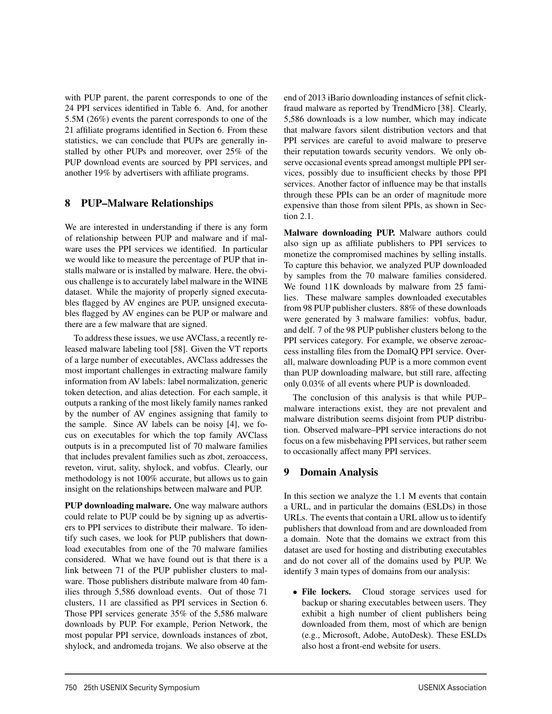with PUP parent, the parent corresponds to one of the 24 PPI services identified in Table 6. And, for another 5.5M (26%) events the parent corresponds to one of the 21 affiliate programs identified in Section 6. From these statistics, we can conclude that PUPs are generally installed by other PUPs and moreover, over 25% of the PUP download events are sourced by PPI services, and another 19% by advertisers with affiliate programs.

## 8 PUP–Malware Relationships

We are interested in understanding if there is any form of relationship between PUP and malware and if malware uses the PPI services we identified. In particular we would like to measure the percentage of PUP that installs malware or is installed by malware. Here, the obvious challenge is to accurately label malware in the WINE dataset. While the majority of properly signed executables flagged by AV engines are PUP, unsigned executables flagged by AV engines can be PUP or malware and there are a few malware that are signed.

To address these issues, we use AVClass, a recently released malware labeling tool [58]. Given the VT reports of a large number of executables, AVClass addresses the most important challenges in extracting malware family information from AV labels: label normalization, generic token detection, and alias detection. For each sample, it outputs a ranking of the most likely family names ranked by the number of AV engines assigning that family to the sample. Since AV labels can be noisy [4], we focus on executables for which the top family AVClass outputs is in a precomputed list of 70 malware families that includes prevalent families such as zbot, zeroaccess, reveton, virut, sality, shylock, and vobfus. Clearly, our methodology is not 100% accurate, but allows us to gain insight on the relationships between malware and PUP.

PUP downloading malware. One way malware authors could relate to PUP could be by signing up as advertisers to PPI services to distribute their malware. To identify such cases, we look for PUP publishers that download executables from one of the 70 malware families considered. What we have found out is that there is a link between 71 of the PUP publisher clusters to malware. Those publishers distribute malware from 40 families through 5,586 download events. Out of those 71 clusters, 11 are classified as PPI services in Section 6. Those PPI services generate 35% of the 5,586 malware downloads by PUP. For example, Perion Network, the most popular PPI service, downloads instances of zbot, shylock, and andromeda trojans. We also observe at the end of 2013 iBario downloading instances of sefnit clickfraud malware as reported by TrendMicro [38]. Clearly, 5,586 downloads is a low number, which may indicate that malware favors silent distribution vectors and that PPI services are careful to avoid malware to preserve their reputation towards security vendors. We only observe occasional events spread amongst multiple PPI services, possibly due to insufficient checks by those PPI services. Another factor of influence may be that installs through these PPIs can be an order of magnitude more expensive than those from silent PPIs, as shown in Section 2.1.

Malware downloading PUP. Malware authors could also sign up as affiliate publishers to PPI services to monetize the compromised machines by selling installs. To capture this behavior, we analyzed PUP downloaded by samples from the 70 malware families considered. We found 11K downloads by malware from 25 families. These malware samples downloaded executables from 98 PUP publisher clusters. 88% of these downloads were generated by 3 malware families: vobfus, badur, and delf. 7 of the 98 PUP publisher clusters belong to the PPI services category. For example, we observe zeroaccess installing files from the DomaIQ PPI service. Overall, malware downloading PUP is a more common event than PUP downloading malware, but still rare, affecting only 0.03% of all events where PUP is downloaded.

The conclusion of this analysis is that while PUP– malware interactions exist, they are not prevalent and malware distribution seems disjoint from PUP distribution. Observed malware–PPI service interactions do not focus on a few misbehaving PPI services, but rather seem to occasionally affect many PPI services.

#### 9 Domain Analysis

12

In this section we analyze the 1.1 M events that contain a URL, and in particular the domains (ESLDs) in those URLs. The events that contain a URL allow us to identify publishers that download from and are downloaded from a domain. Note that the domains we extract from this dataset are used for hosting and distributing executables and do not cover all of the domains used by PUP. We identify 3 main types of domains from our analysis:

• File lockers. Cloud storage services used for backup or sharing executables between users. They exhibit a high number of client publishers being downloaded from them, most of which are benign (e.g., Microsoft, Adobe, AutoDesk). These ESLDs also host a front-end website for users.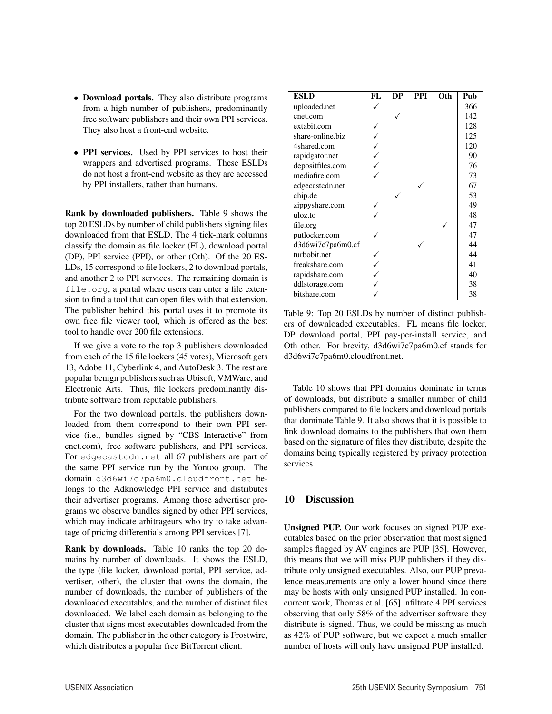- Download portals. They also distribute programs from a high number of publishers, predominantly free software publishers and their own PPI services. They also host a front-end website.
- PPI services. Used by PPI services to host their wrappers and advertised programs. These ESLDs do not host a front-end website as they are accessed by PPI installers, rather than humans.

Rank by downloaded publishers. Table 9 shows the top 20 ESLDs by number of child publishers signing files downloaded from that ESLD. The 4 tick-mark columns classify the domain as file locker (FL), download portal (DP), PPI service (PPI), or other (Oth). Of the 20 ES-LDs, 15 correspond to file lockers, 2 to download portals, and another 2 to PPI services. The remaining domain is file.org, a portal where users can enter a file extension to find a tool that can open files with that extension. The publisher behind this portal uses it to promote its own free file viewer tool, which is offered as the best tool to handle over 200 file extensions.

If we give a vote to the top 3 publishers downloaded from each of the 15 file lockers (45 votes), Microsoft gets 13, Adobe 11, Cyberlink 4, and AutoDesk 3. The rest are popular benign publishers such as Ubisoft, VMWare, and Electronic Arts. Thus, file lockers predominantly distribute software from reputable publishers.

For the two download portals, the publishers downloaded from them correspond to their own PPI service (i.e., bundles signed by "CBS Interactive" from cnet.com), free software publishers, and PPI services. For edgecastcdn.net all 67 publishers are part of the same PPI service run by the Yontoo group. The domain d3d6wi7c7pa6m0.cloudfront.net belongs to the Adknowledge PPI service and distributes their advertiser programs. Among those advertiser programs we observe bundles signed by other PPI services, which may indicate arbitrageurs who try to take advantage of pricing differentials among PPI services [7].

Rank by downloads. Table 10 ranks the top 20 domains by number of downloads. It shows the ESLD, the type (file locker, download portal, PPI service, advertiser, other), the cluster that owns the domain, the number of downloads, the number of publishers of the downloaded executables, and the number of distinct files downloaded. We label each domain as belonging to the cluster that signs most executables downloaded from the domain. The publisher in the other category is Frostwire, which distributes a popular free BitTorrent client.

| <b>ESLD</b>       | FL | DP | <b>PPI</b> | Oth | Pub |
|-------------------|----|----|------------|-----|-----|
| uploaded.net      |    |    |            |     | 366 |
| cnet.com          |    |    |            |     | 142 |
| extabit.com       |    |    |            |     | 128 |
| share-online.biz  |    |    |            |     | 125 |
| 4shared.com       |    |    |            |     | 120 |
| rapidgator.net    |    |    |            |     | 90  |
| depositfiles.com  |    |    |            |     | 76  |
| mediafire.com     |    |    |            |     | 73  |
| edgecastcdn.net   |    |    |            |     | 67  |
| chip.de           |    |    |            |     | 53  |
| zippyshare.com    |    |    |            |     | 49  |
| uloz.to           |    |    |            |     | 48  |
| file.org          |    |    |            |     | 47  |
| putlocker.com     |    |    |            |     | 47  |
| d3d6wi7c7pa6m0.cf |    |    |            |     | 44  |
| turbobit.net      |    |    |            |     | 44  |
| freakshare.com    |    |    |            |     | 41  |
| rapidshare.com    |    |    |            |     | 40  |
| ddlstorage.com    |    |    |            |     | 38  |
| bitshare.com      |    |    |            |     | 38  |

Table 9: Top 20 ESLDs by number of distinct publishers of downloaded executables. FL means file locker, DP download portal, PPI pay-per-install service, and Oth other. For brevity, d3d6wi7c7pa6m0.cf stands for d3d6wi7c7pa6m0.cloudfront.net.

Table 10 shows that PPI domains dominate in terms of downloads, but distribute a smaller number of child publishers compared to file lockers and download portals that dominate Table 9. It also shows that it is possible to link download domains to the publishers that own them based on the signature of files they distribute, despite the domains being typically registered by privacy protection services.

#### 10 Discussion

13

Unsigned PUP. Our work focuses on signed PUP executables based on the prior observation that most signed samples flagged by AV engines are PUP [35]. However, this means that we will miss PUP publishers if they distribute only unsigned executables. Also, our PUP prevalence measurements are only a lower bound since there may be hosts with only unsigned PUP installed. In concurrent work, Thomas et al. [65] infiltrate 4 PPI services observing that only 58% of the advertiser software they distribute is signed. Thus, we could be missing as much as 42% of PUP software, but we expect a much smaller number of hosts will only have unsigned PUP installed.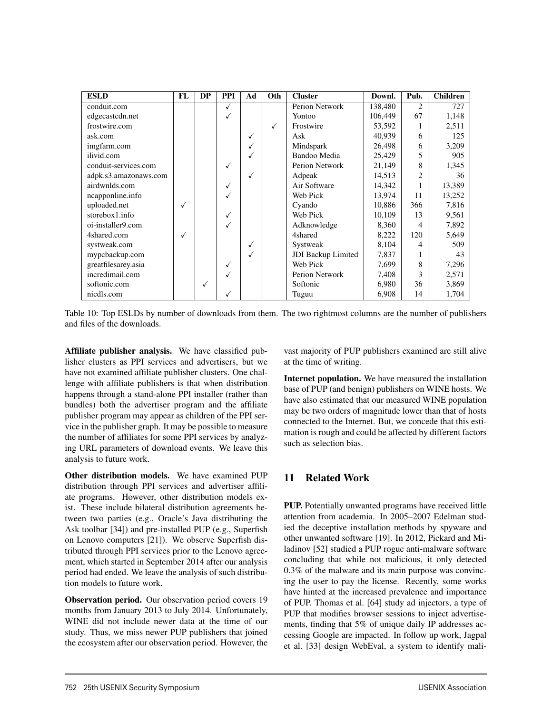| <b>ESLD</b>           | FL | <b>DP</b> | <b>PPI</b>   | Ad | Oth | <b>Cluster</b>            | Downl.  | Pub.           | <b>Children</b> |
|-----------------------|----|-----------|--------------|----|-----|---------------------------|---------|----------------|-----------------|
| conduit.com           |    |           | ✓            |    |     | Perion Network            | 138,480 | $\overline{c}$ | 727             |
| edgecastcdn.net       |    |           | $\checkmark$ |    |     | Yontoo                    | 106,449 | 67             | 1,148           |
| frostwire.com         |    |           |              |    | √   | Frostwire                 | 53,592  |                | 2,511           |
| ask.com               |    |           |              | ✓  |     | Ask                       | 40,939  | 6              | 125             |
| imgfarm.com           |    |           |              | √  |     | Mindspark                 | 26,498  | 6              | 3,209           |
| ilivid.com            |    |           |              |    |     | Bandoo Media              | 25,429  | 5              | 905             |
| conduit-services.com  |    |           | ✓            |    |     | Perion Network            | 21,149  | 8              | 1,345           |
| adpk.s3.amazonaws.com |    |           |              | √  |     | Adpeak                    | 14,513  | $\overline{c}$ | 36              |
| airdwnlds.com         |    |           | ✓            |    |     | Air Software              | 14,342  |                | 13,389          |
| ncapponline.info      |    |           | $\checkmark$ |    |     | Web Pick                  | 13,974  | 11             | 13,252          |
| uploaded.net          |    |           |              |    |     | Cyando                    | 10,886  | 366            | 7,816           |
| storebox1.info        |    |           | $\checkmark$ |    |     | Web Pick                  | 10,109  | 13             | 9,561           |
| oi-installer9.com     |    |           | √            |    |     | Adknowledge               | 8,360   | 4              | 7,892           |
| 4shared.com           | √  |           |              |    |     | 4shared                   | 8,222   | 120            | 5,649           |
| systweak.com          |    |           |              | ✓  |     | Systweak                  | 8,104   | 4              | 509             |
| mypcbackup.com        |    |           |              | √  |     | <b>JDI</b> Backup Limited | 7,837   |                | 43              |
| greatfilesarey.asia   |    |           | ✓            |    |     | Web Pick                  | 7,699   | 8              | 7,296           |
| incredimail.com       |    |           |              |    |     | Perion Network            | 7,408   | 3              | 2,571           |
| softonic.com          |    | √         |              |    |     | Softonic                  | 6,980   | 36             | 3,869           |
| nicdls.com            |    |           | ✓            |    |     | Tuguu                     | 6,908   | 14             | 1,704           |

Table 10: Top ESLDs by number of downloads from them. The two rightmost columns are the number of publishers and files of the downloads.

Affiliate publisher analysis. We have classified publisher clusters as PPI services and advertisers, but we have not examined affiliate publisher clusters. One challenge with affiliate publishers is that when distribution happens through a stand-alone PPI installer (rather than bundles) both the advertiser program and the affiliate publisher program may appear as children of the PPI service in the publisher graph. It may be possible to measure the number of affiliates for some PPI services by analyzing URL parameters of download events. We leave this analysis to future work.

Other distribution models. We have examined PUP distribution through PPI services and advertiser affiliate programs. However, other distribution models exist. These include bilateral distribution agreements between two parties (e.g., Oracle's Java distributing the Ask toolbar [34]) and pre-installed PUP (e.g., Superfish on Lenovo computers [21]). We observe Superfish distributed through PPI services prior to the Lenovo agreement, which started in September 2014 after our analysis period had ended. We leave the analysis of such distribution models to future work.

Observation period. Our observation period covers 19 months from January 2013 to July 2014. Unfortunately, WINE did not include newer data at the time of our study. Thus, we miss newer PUP publishers that joined the ecosystem after our observation period. However, the vast majority of PUP publishers examined are still alive at the time of writing.

Internet population. We have measured the installation base of PUP (and benign) publishers on WINE hosts. We have also estimated that our measured WINE population may be two orders of magnitude lower than that of hosts connected to the Internet. But, we concede that this estimation is rough and could be affected by different factors such as selection bias.

## 11 Related Work

PUP. Potentially unwanted programs have received little attention from academia. In 2005–2007 Edelman studied the deceptive installation methods by spyware and other unwanted software [19]. In 2012, Pickard and Miladinov [52] studied a PUP rogue anti-malware software concluding that while not malicious, it only detected 0.3% of the malware and its main purpose was convincing the user to pay the license. Recently, some works have hinted at the increased prevalence and importance of PUP. Thomas et al. [64] study ad injectors, a type of PUP that modifies browser sessions to inject advertisements, finding that 5% of unique daily IP addresses accessing Google are impacted. In follow up work, Jagpal et al. [33] design WebEval, a system to identify mali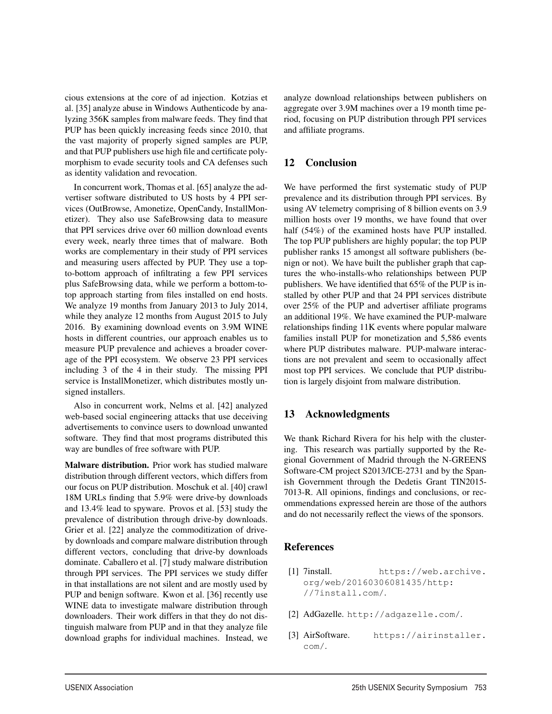cious extensions at the core of ad injection. Kotzias et al. [35] analyze abuse in Windows Authenticode by analyzing 356K samples from malware feeds. They find that PUP has been quickly increasing feeds since 2010, that the vast majority of properly signed samples are PUP, and that PUP publishers use high file and certificate polymorphism to evade security tools and CA defenses such as identity validation and revocation.

In concurrent work, Thomas et al. [65] analyze the advertiser software distributed to US hosts by 4 PPI services (OutBrowse, Amonetize, OpenCandy, InstallMonetizer). They also use SafeBrowsing data to measure that PPI services drive over 60 million download events every week, nearly three times that of malware. Both works are complementary in their study of PPI services and measuring users affected by PUP. They use a topto-bottom approach of infiltrating a few PPI services plus SafeBrowsing data, while we perform a bottom-totop approach starting from files installed on end hosts. We analyze 19 months from January 2013 to July 2014, while they analyze 12 months from August 2015 to July 2016. By examining download events on 3.9M WINE hosts in different countries, our approach enables us to measure PUP prevalence and achieves a broader coverage of the PPI ecosystem. We observe 23 PPI services including 3 of the 4 in their study. The missing PPI service is InstallMonetizer, which distributes mostly unsigned installers.

Also in concurrent work, Nelms et al. [42] analyzed web-based social engineering attacks that use deceiving advertisements to convince users to download unwanted software. They find that most programs distributed this way are bundles of free software with PUP.

Malware distribution. Prior work has studied malware distribution through different vectors, which differs from our focus on PUP distribution. Moschuk et al. [40] crawl 18M URLs finding that 5.9% were drive-by downloads and 13.4% lead to spyware. Provos et al. [53] study the prevalence of distribution through drive-by downloads. Grier et al. [22] analyze the commoditization of driveby downloads and compare malware distribution through different vectors, concluding that drive-by downloads dominate. Caballero et al. [7] study malware distribution through PPI services. The PPI services we study differ in that installations are not silent and are mostly used by PUP and benign software. Kwon et al. [36] recently use WINE data to investigate malware distribution through downloaders. Their work differs in that they do not distinguish malware from PUP and in that they analyze file download graphs for individual machines. Instead, we analyze download relationships between publishers on aggregate over 3.9M machines over a 19 month time period, focusing on PUP distribution through PPI services and affiliate programs.

## 12 Conclusion

We have performed the first systematic study of PUP prevalence and its distribution through PPI services. By using AV telemetry comprising of 8 billion events on 3.9 million hosts over 19 months, we have found that over half (54%) of the examined hosts have PUP installed. The top PUP publishers are highly popular; the top PUP publisher ranks 15 amongst all software publishers (benign or not). We have built the publisher graph that captures the who-installs-who relationships between PUP publishers. We have identified that 65% of the PUP is installed by other PUP and that 24 PPI services distribute over 25% of the PUP and advertiser affiliate programs an additional 19%. We have examined the PUP-malware relationships finding 11K events where popular malware families install PUP for monetization and 5,586 events where PUP distributes malware. PUP-malware interactions are not prevalent and seem to occasionally affect most top PPI services. We conclude that PUP distribution is largely disjoint from malware distribution.

#### 13 Acknowledgments

We thank Richard Rivera for his help with the clustering. This research was partially supported by the Regional Government of Madrid through the N-GREENS Software-CM project S2013/ICE-2731 and by the Spanish Government through the Dedetis Grant TIN2015- 7013-R. All opinions, findings and conclusions, or recommendations expressed herein are those of the authors and do not necessarily reflect the views of the sponsors.

## References

- [1] 7install. https://web.archive. org/web/20160306081435/http: //7install.com/.
- [2] AdGazelle. http://adgazelle.com/.
- [3] AirSoftware. https://airinstaller. com/.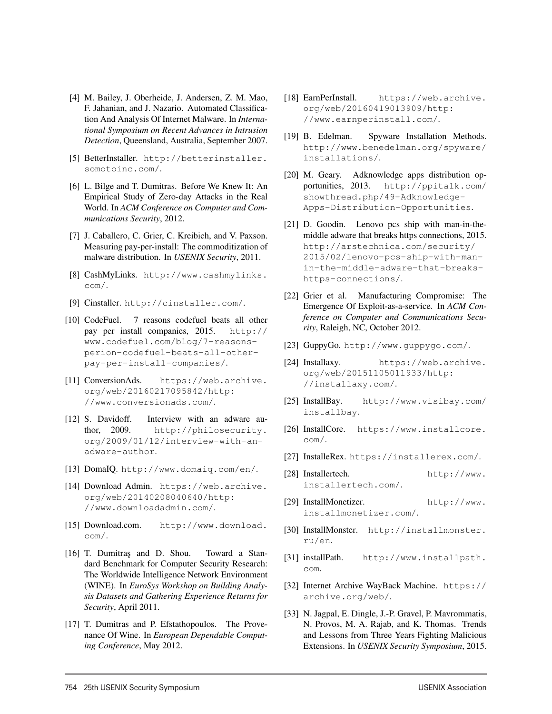- [4] M. Bailey, J. Oberheide, J. Andersen, Z. M. Mao, F. Jahanian, and J. Nazario. Automated Classification And Analysis Of Internet Malware. In *International Symposium on Recent Advances in Intrusion Detection*, Queensland, Australia, September 2007.
- [5] BetterInstaller. http://betterinstaller. somotoinc.com/.
- [6] L. Bilge and T. Dumitras. Before We Knew It: An Empirical Study of Zero-day Attacks in the Real World. In *ACM Conference on Computer and Communications Security*, 2012.
- [7] J. Caballero, C. Grier, C. Kreibich, and V. Paxson. Measuring pay-per-install: The commoditization of malware distribution. In *USENIX Security*, 2011.
- [8] CashMyLinks. http://www.cashmylinks. com/.
- [9] Cinstaller. http://cinstaller.com/.
- [10] CodeFuel. 7 reasons codefuel beats all other pay per install companies, 2015. http:// www.codefuel.com/blog/7-reasonsperion-codefuel-beats-all-otherpay-per-install-companies/.
- [11] ConversionAds. https://web.archive. org/web/20160217095842/http: //www.conversionads.com/.
- [12] S. Davidoff. Interview with an adware author, 2009. http://philosecurity. org/2009/01/12/interview-with-anadware-author.
- [13] DomaIQ. http://www.domaiq.com/en/.
- [14] Download Admin. https://web.archive. org/web/20140208040640/http: //www.downloadadmin.com/.
- [15] Download.com. http://www.download. com/.
- [16] T. Dumitras and D. Shou. Toward a Standard Benchmark for Computer Security Research: The Worldwide Intelligence Network Environment (WINE). In *EuroSys Workshop on Building Analysis Datasets and Gathering Experience Returns for Security*, April 2011.
- [17] T. Dumitras and P. Efstathopoulos. The Provenance Of Wine. In *European Dependable Computing Conference*, May 2012.

- [18] EarnPerInstall. https://web.archive. org/web/20160419013909/http: //www.earnperinstall.com/.
- [19] B. Edelman. Spyware Installation Methods. http://www.benedelman.org/spyware/ installations/.
- [20] M. Geary. Adknowledge apps distribution opportunities, 2013. http://ppitalk.com/ showthread.php/49-Adknowledge-Apps-Distribution-Opportunities.
- [21] D. Goodin. Lenovo pcs ship with man-in-themiddle adware that breaks https connections, 2015. http://arstechnica.com/security/ 2015/02/lenovo-pcs-ship-with-manin-the-middle-adware-that-breakshttps-connections/.
- [22] Grier et al. Manufacturing Compromise: The Emergence Of Exploit-as-a-service. In *ACM Conference on Computer and Communications Security*, Raleigh, NC, October 2012.
- [23] GuppyGo. http://www.guppygo.com/.
- [24] Installaxy. https://web.archive. org/web/20151105011933/http: //installaxy.com/.
- [25] InstallBay. http://www.visibay.com/ installbay.
- [26] InstallCore. https://www.installcore. com/.
- [27] InstalleRex. https://installerex.com/.
- [28] Installertech. http://www. installertech.com/.
- [29] InstallMonetizer. http://www. installmonetizer.com/.
- [30] InstallMonster. http://installmonster. ru/en.
- [31] installPath. http://www.installpath. com.
- [32] Internet Archive WayBack Machine. https:// archive.org/web/.
- [33] N. Jagpal, E. Dingle, J.-P. Gravel, P. Mavrommatis, N. Provos, M. A. Rajab, and K. Thomas. Trends and Lessons from Three Years Fighting Malicious Extensions. In *USENIX Security Symposium*, 2015.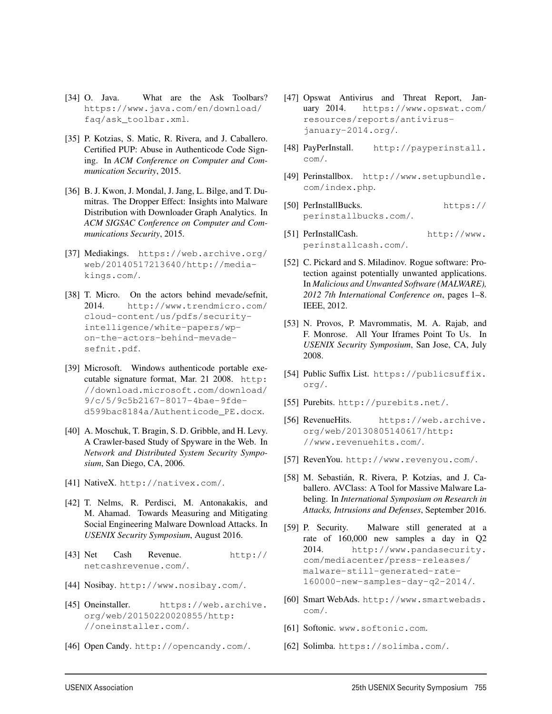- [34] O. Java. What are the Ask Toolbars? https://www.java.com/en/download/ faq/ask\_toolbar.xml.
- [35] P. Kotzias, S. Matic, R. Rivera, and J. Caballero. Certified PUP: Abuse in Authenticode Code Signing. In *ACM Conference on Computer and Communication Security*, 2015.
- [36] B. J. Kwon, J. Mondal, J. Jang, L. Bilge, and T. Dumitras. The Dropper Effect: Insights into Malware Distribution with Downloader Graph Analytics. In *ACM SIGSAC Conference on Computer and Communications Security*, 2015.
- [37] Mediakings. https://web.archive.org/ web/20140517213640/http://mediakings.com/.
- [38] T. Micro. On the actors behind mevade/sefnit, 2014. http://www.trendmicro.com/ cloud-content/us/pdfs/securityintelligence/white-papers/wpon-the-actors-behind-mevadesefnit.pdf.
- [39] Microsoft. Windows authenticode portable executable signature format, Mar. 21 2008. http: //download.microsoft.com/download/ 9/c/5/9c5b2167-8017-4bae-9fded599bac8184a/Authenticode\_PE.docx.
- [40] A. Moschuk, T. Bragin, S. D. Gribble, and H. Levy. A Crawler-based Study of Spyware in the Web. In *Network and Distributed System Security Symposium*, San Diego, CA, 2006.
- [41] NativeX. http://nativex.com/.
- [42] T. Nelms, R. Perdisci, M. Antonakakis, and M. Ahamad. Towards Measuring and Mitigating Social Engineering Malware Download Attacks. In *USENIX Security Symposium*, August 2016.
- [43] Net Cash Revenue. http:// netcashrevenue.com/.
- [44] Nosibay. http://www.nosibay.com/.
- [45] Oneinstaller. https://web.archive. org/web/20150220020855/http: //oneinstaller.com/.
- [46] Open Candy. http://opencandy.com/.
- [47] Opswat Antivirus and Threat Report, January 2014. https://www.opswat.com/ resources/reports/antivirusjanuary-2014.org/.
- [48] PayPerInstall. http://payperinstall. com/.
- [49] Perinstallbox. http://www.setupbundle. com/index.php.
- [50] PerInstallBucks. https:// perinstallbucks.com/.
- [51] PerInstallCash. http://www. perinstallcash.com/.
- [52] C. Pickard and S. Miladinov. Rogue software: Protection against potentially unwanted applications. In *Malicious and Unwanted Software (MALWARE), 2012 7th International Conference on*, pages 1–8. IEEE, 2012.
- [53] N. Provos, P. Mavrommatis, M. A. Rajab, and F. Monrose. All Your Iframes Point To Us. In *USENIX Security Symposium*, San Jose, CA, July 2008.
- [54] Public Suffix List. https://publicsuffix. org/.
- [55] Purebits. http://purebits.net/.
- [56] RevenueHits. https://web.archive. org/web/20130805140617/http: //www.revenuehits.com/.
- [57] RevenYou. http://www.revenyou.com/.
- [58] M. Sebastián, R. Rivera, P. Kotzias, and J. Caballero. AVClass: A Tool for Massive Malware Labeling. In *International Symposium on Research in Attacks, Intrusions and Defenses*, September 2016.
- [59] P. Security. Malware still generated at a rate of 160,000 new samples a day in Q2 2014. http://www.pandasecurity. com/mediacenter/press-releases/ malware-still-generated-rate-160000-new-samples-day-q2-2014/.
- [60] Smart WebAds. http://www.smartwebads. com/.
- [61] Softonic. www.softonic.com.

[62] Solimba. https://solimba.com/.